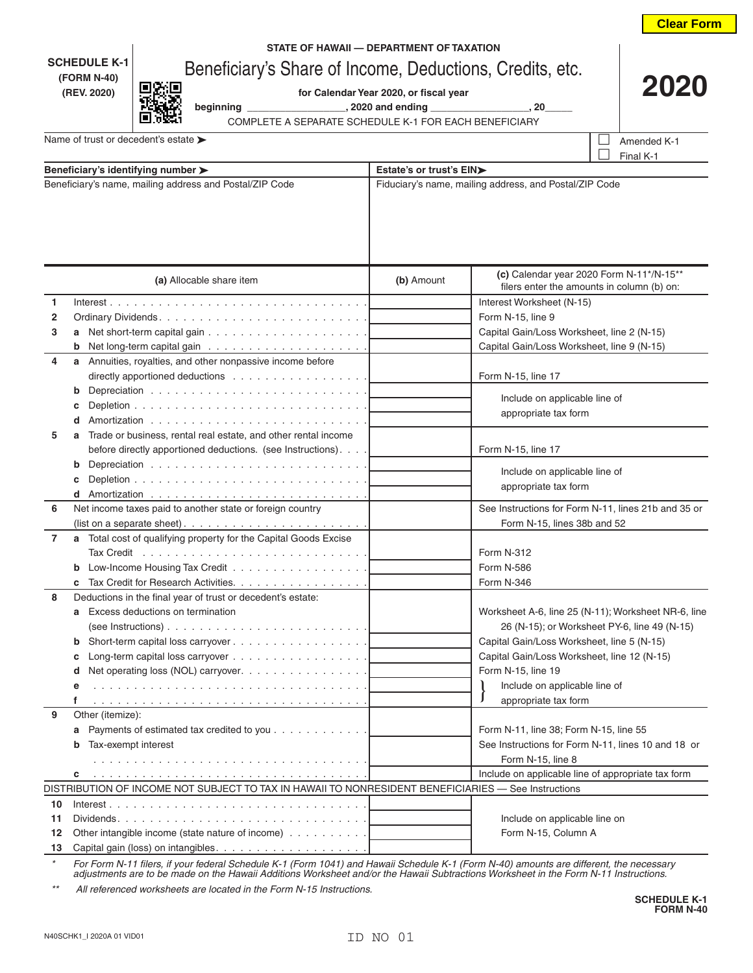|                                                                                 |                                                                                                                                                    |                                                        |                                                                                          | <b>Clear Form</b>                                   |  |
|---------------------------------------------------------------------------------|----------------------------------------------------------------------------------------------------------------------------------------------------|--------------------------------------------------------|------------------------------------------------------------------------------------------|-----------------------------------------------------|--|
|                                                                                 |                                                                                                                                                    | STATE OF HAWAII - DEPARTMENT OF TAXATION               |                                                                                          |                                                     |  |
| <b>SCHEDULE K-1</b><br>Beneficiary's Share of Income, Deductions, Credits, etc. |                                                                                                                                                    |                                                        |                                                                                          |                                                     |  |
|                                                                                 | (FORM N-40)                                                                                                                                        |                                                        |                                                                                          | 202                                                 |  |
|                                                                                 | (REV. 2020)                                                                                                                                        | for Calendar Year 2020, or fiscal year                 |                                                                                          |                                                     |  |
|                                                                                 | COMPLETE A SEPARATE SCHEDULE K-1 FOR EACH BENEFICIARY                                                                                              |                                                        |                                                                                          |                                                     |  |
|                                                                                 | Name of trust or decedent's estate >                                                                                                               |                                                        |                                                                                          | Amended K-1                                         |  |
|                                                                                 |                                                                                                                                                    |                                                        |                                                                                          | Final K-1                                           |  |
|                                                                                 | Beneficiary's identifying number >                                                                                                                 |                                                        | Estate's or trust's EIN>                                                                 |                                                     |  |
|                                                                                 | Beneficiary's name, mailing address and Postal/ZIP Code                                                                                            | Fiduciary's name, mailing address, and Postal/ZIP Code |                                                                                          |                                                     |  |
|                                                                                 |                                                                                                                                                    |                                                        |                                                                                          |                                                     |  |
|                                                                                 |                                                                                                                                                    |                                                        |                                                                                          |                                                     |  |
|                                                                                 |                                                                                                                                                    |                                                        |                                                                                          |                                                     |  |
| (a) Allocable share item                                                        |                                                                                                                                                    | (b) Amount                                             | (c) Calendar year 2020 Form N-11*/N-15**<br>filers enter the amounts in column (b) on:   |                                                     |  |
| 1                                                                               |                                                                                                                                                    |                                                        | Interest Worksheet (N-15)                                                                |                                                     |  |
| 2                                                                               |                                                                                                                                                    |                                                        | Form N-15, line 9                                                                        |                                                     |  |
| 3                                                                               |                                                                                                                                                    |                                                        | Capital Gain/Loss Worksheet, line 2 (N-15)<br>Capital Gain/Loss Worksheet, line 9 (N-15) |                                                     |  |
|                                                                                 |                                                                                                                                                    |                                                        |                                                                                          |                                                     |  |
| 4                                                                               | a Annuities, royalties, and other nonpassive income before                                                                                         |                                                        |                                                                                          |                                                     |  |
|                                                                                 | directly apportioned deductions $\ldots \ldots \ldots \ldots \ldots$                                                                               |                                                        | Form N-15, line 17                                                                       |                                                     |  |
|                                                                                 | b                                                                                                                                                  |                                                        | Include on applicable line of                                                            |                                                     |  |
|                                                                                 |                                                                                                                                                    |                                                        | appropriate tax form                                                                     |                                                     |  |
|                                                                                 | d                                                                                                                                                  |                                                        |                                                                                          |                                                     |  |
| 5                                                                               | Trade or business, rental real estate, and other rental income                                                                                     |                                                        |                                                                                          |                                                     |  |
|                                                                                 | before directly apportioned deductions. (see Instructions).                                                                                        |                                                        | Form N-15, line 17                                                                       |                                                     |  |
|                                                                                 | b                                                                                                                                                  |                                                        | Include on applicable line of                                                            |                                                     |  |
|                                                                                 |                                                                                                                                                    |                                                        | appropriate tax form                                                                     |                                                     |  |
| 6                                                                               | Net income taxes paid to another state or foreign country                                                                                          |                                                        |                                                                                          |                                                     |  |
|                                                                                 |                                                                                                                                                    |                                                        | See Instructions for Form N-11, lines 21b and 35 or<br>Form N-15, lines 38b and 52       |                                                     |  |
| 7                                                                               | (list on a separate sheet). $\ldots \ldots \ldots \ldots \ldots \ldots \ldots$<br>a Total cost of qualifying property for the Capital Goods Excise |                                                        |                                                                                          |                                                     |  |
|                                                                                 | Tax Credit $\ldots \ldots \ldots \ldots \ldots \ldots \ldots \ldots$                                                                               |                                                        | Form N-312                                                                               |                                                     |  |
|                                                                                 |                                                                                                                                                    |                                                        | Form N-586                                                                               |                                                     |  |
|                                                                                 | Tax Credit for Research Activities.                                                                                                                |                                                        | Form N-346                                                                               |                                                     |  |
| 8                                                                               | Deductions in the final year of trust or decedent's estate:                                                                                        |                                                        |                                                                                          |                                                     |  |
|                                                                                 | Excess deductions on termination<br>a                                                                                                              |                                                        |                                                                                          | Worksheet A-6, line 25 (N-11); Worksheet NR-6, line |  |
|                                                                                 |                                                                                                                                                    |                                                        |                                                                                          | 26 (N-15); or Worksheet PY-6, line 49 (N-15)        |  |
|                                                                                 | b                                                                                                                                                  |                                                        | Capital Gain/Loss Worksheet, line 5 (N-15)                                               |                                                     |  |
|                                                                                 | c                                                                                                                                                  |                                                        | Capital Gain/Loss Worksheet, line 12 (N-15)                                              |                                                     |  |
|                                                                                 | Net operating loss (NOL) carryover.<br>d                                                                                                           |                                                        | Form N-15, line 19                                                                       |                                                     |  |
|                                                                                 | е                                                                                                                                                  |                                                        | Include on applicable line of                                                            |                                                     |  |
|                                                                                 | f                                                                                                                                                  |                                                        | appropriate tax form                                                                     |                                                     |  |
| 9                                                                               | Other (itemize):                                                                                                                                   |                                                        |                                                                                          |                                                     |  |
|                                                                                 | Payments of estimated tax credited to you<br>а                                                                                                     |                                                        | Form N-11, line 38; Form N-15, line 55                                                   |                                                     |  |
|                                                                                 | Tax-exempt interest                                                                                                                                |                                                        | See Instructions for Form N-11, lines 10 and 18 or                                       |                                                     |  |
|                                                                                 |                                                                                                                                                    |                                                        | Form N-15, line 8                                                                        |                                                     |  |
|                                                                                 | c                                                                                                                                                  |                                                        | Include on applicable line of appropriate tax form                                       |                                                     |  |
|                                                                                 | DISTRIBUTION OF INCOME NOT SUBJECT TO TAX IN HAWAII TO NONRESIDENT BENEFICIARIES - See Instructions                                                |                                                        |                                                                                          |                                                     |  |
| 10                                                                              | $Interest. \ldots \ldots \ldots \ldots \ldots \ldots \ldots \ldots \ldots \ldots \ldots \ldots$                                                    |                                                        |                                                                                          |                                                     |  |
| 11                                                                              |                                                                                                                                                    |                                                        | Include on applicable line on                                                            |                                                     |  |
| 12                                                                              | Other intangible income (state nature of income)                                                                                                   |                                                        | Form N-15, Column A                                                                      |                                                     |  |
| 13                                                                              |                                                                                                                                                    |                                                        |                                                                                          |                                                     |  |

*\* For Form N-11 filers, if your federal Schedule K-1 (Form 1041) and Hawaii Schedule K-1 (Form N-40) amounts are different, the necessary adjustments are to be made on the Hawaii Additions Worksheet and/or the Hawaii Subtractions Worksheet in the Form N-11 Instructions.*

*\*\* All referenced worksheets are located in the Form N-15 Instructions.*